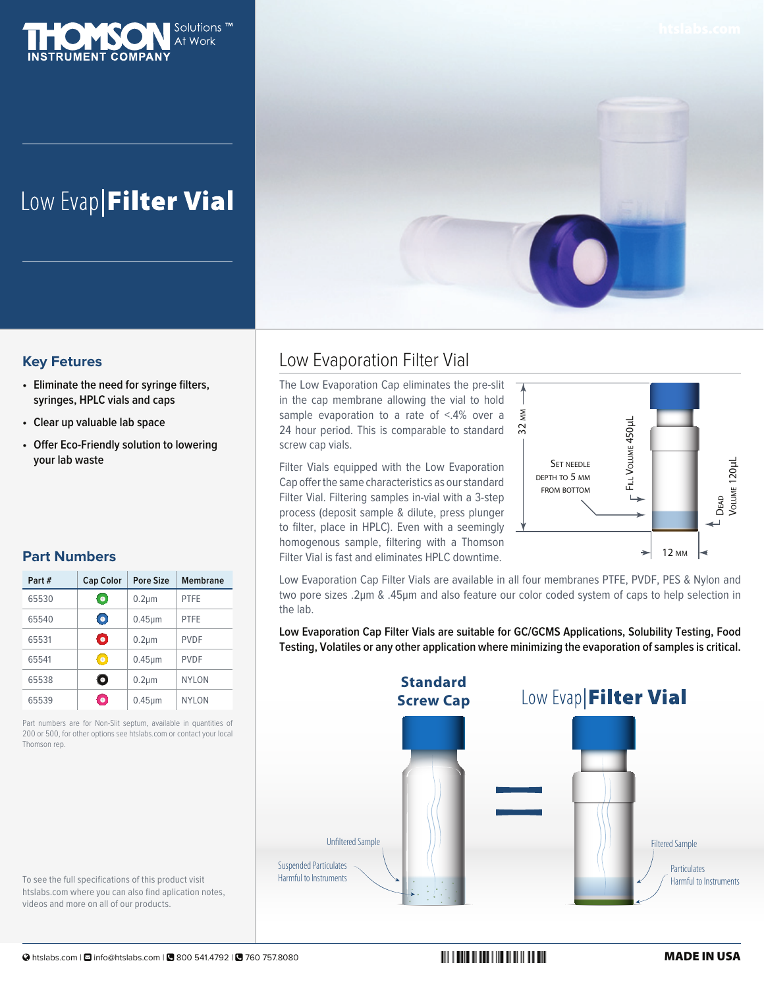

# Low Evap Filter Vial



#### **Key Fetures**

- **• Eliminate the need for syringe filters, syringes, HPLC vials and caps**
- **• Clear up valuable lab space**
- **• Offer Eco-Friendly solution to lowering your lab waste**

#### **Part Numbers**

| Part# | <b>Cap Color</b> | Pore Size    | <b>Membrane</b> |
|-------|------------------|--------------|-----------------|
| 65530 | $\bullet$        | $0.2 \mu m$  | <b>PTFE</b>     |
| 65540 | $\bullet$        | $0.45 \mu m$ | <b>PTFE</b>     |
| 65531 | О                | $0.2 \mu m$  | <b>PVDF</b>     |
| 65541 | $\bullet$        | $0.45 \mu m$ | <b>PVDF</b>     |
| 65538 | О                | $0.2 \mu m$  | <b>NYLON</b>    |
| 65539 | $\bullet$        | $0.45 \mu m$ | <b>NYLON</b>    |

Part numbers are for Non-Slit septum, available in quantities of 200 or 500, for other options see htslabs.com or contact your local Thomson rep.

To see the full specifications of this product visit htslabs.com where you can also find aplication notes, videos and more on all of our products.

## Low Evaporation Filter Vial

The Low Evaporation Cap eliminates the pre-slit in the cap membrane allowing the vial to hold sample evaporation to a rate of <.4% over a 24 hour period. This is comparable to standard screw cap vials.

Filter Vials equipped with the Low Evaporation Cap offer the same characteristics as our standard Filter Vial. Filtering samples in-vial with a 3-step process (deposit sample & dilute, press plunger to filter, place in HPLC). Even with a seemingly homogenous sample, filtering with a Thomson Filter Vial is fast and eliminates HPLC downtime.



Low Evaporation Cap Filter Vials are available in all four membranes PTFE, PVDF, PES & Nylon and two pore sizes .2µm & .45µm and also feature our color coded system of caps to help selection in the lab.

**Low Evaporation Cap Filter Vials are suitable for GC/GCMS Applications, Solubility Testing, Food Testing, Volatiles or any other application where minimizing the evaporation of samples is critical.**